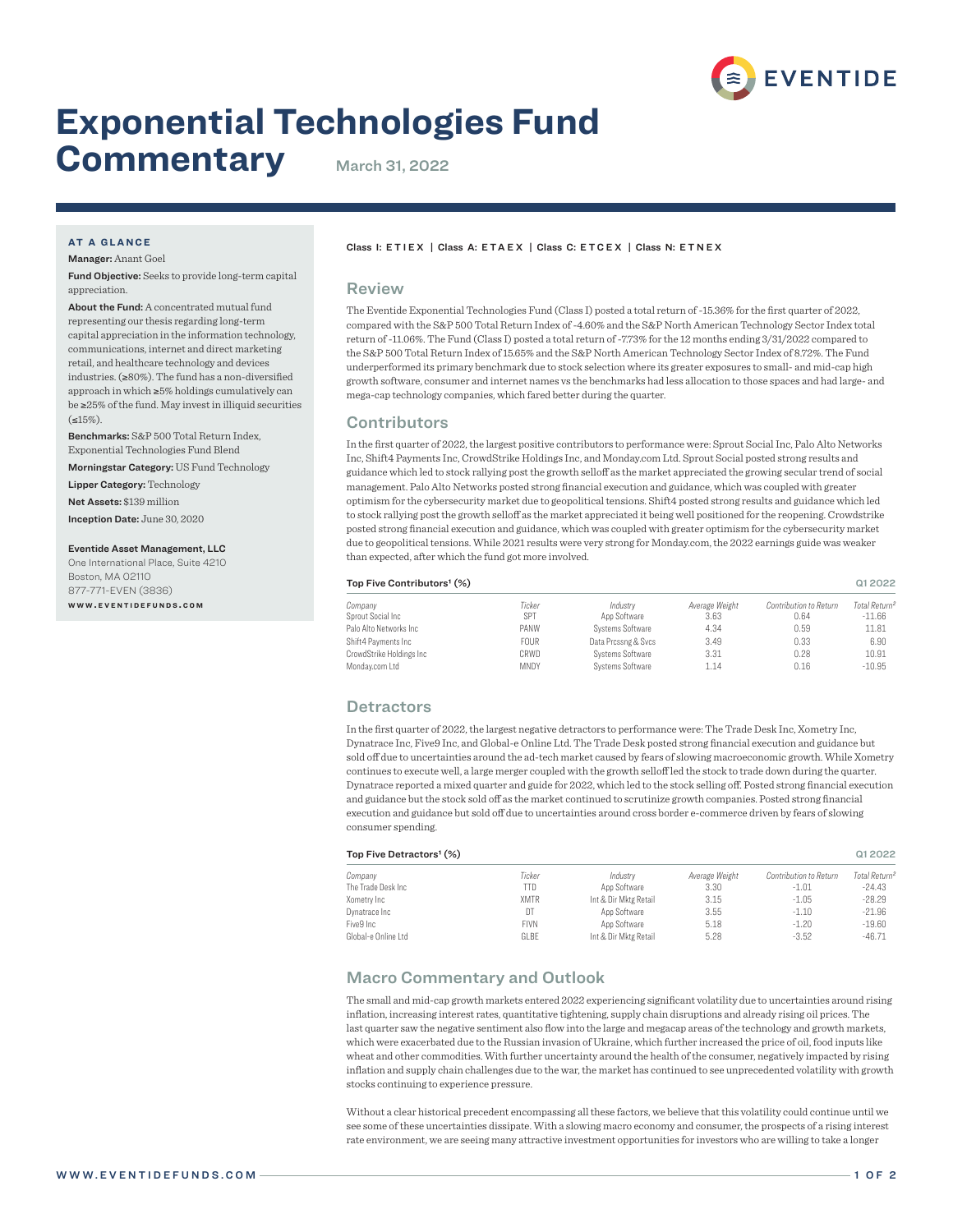

# **Exponential Technologies Fund**

# **Commentary** March 31, 2022

### **AT A GLANCE**

Manager: Anant Goel

Fund Objective: Seeks to provide long-term capital appreciation.

About the Fund: A concentrated mutual fund representing our thesis regarding long-term capital appreciation in the information technology, communications, internet and direct marketing retail, and healthcare technology and devices industries. (≥80%). The fund has a non-diversified approach in which ≥5% holdings cumulatively can be ≥25% of the fund. May invest in illiquid securities  $(515\%)$ 

Benchmarks: S&P 500 Total Return Index, Exponential Technologies Fund Blend

Morningstar Category: US Fund Technology

Lipper Category: Technology Net Assets: \$139 million

Inception Date: June 30, 2020

#### Eventide Asset Management, LLC

One International Place, Suite 4210 Boston, MA 02110 877-771-EVEN (3836) **w w w . e v e n t i d e f u n d s . c o m**

#### Class I: ETIEX | Class A: ETAEX | Class C: ETCEX | Class N: ETNEX

#### Review

The Eventide Exponential Technologies Fund (Class I) posted a total return of -15.36% for the first quarter of 2022, compared with the S&P 500 Total Return Index of -4.60% and the S&P North American Technology Sector Index total return of -11.06%. The Fund (Class I) posted a total return of -7.73% for the 12 months ending 3/31/2022 compared to the S&P 500 Total Return Index of 15.65% and the S&P North American Technology Sector Index of 8.72%. The Fund underperformed its primary benchmark due to stock selection where its greater exposures to small- and mid-cap high growth software, consumer and internet names vs the benchmarks had less allocation to those spaces and had large- and mega-cap technology companies, which fared better during the quarter.

# **Contributors**

In the first quarter of 2022, the largest positive contributors to performance were: Sprout Social Inc, Palo Alto Networks Inc, Shift4 Payments Inc, CrowdStrike Holdings Inc, and Monday.com Ltd. Sprout Social posted strong results and guidance which led to stock rallying post the growth selloff as the market appreciated the growing secular trend of social management. Palo Alto Networks posted strong financial execution and guidance, which was coupled with greater optimism for the cybersecurity market due to geopolitical tensions. Shift4 posted strong results and guidance which led to stock rallying post the growth selloff as the market appreciated it being well positioned for the reopening. Crowdstrike posted strong financial execution and guidance, which was coupled with greater optimism for the cybersecurity market due to geopolitical tensions. While 2021 results were very strong for Monday.com, the 2022 earnings guide was weaker than expected, after which the fund got more involved.

#### Top Five Contributors' (%) and the Contributors' (%) contributors' (%) and the Contributors' (%) contributors of  $\alpha$

| Company                  | Ticker      | Industry            | Average Weight | Contribution to Return | Total Return <sup>2</sup> |
|--------------------------|-------------|---------------------|----------------|------------------------|---------------------------|
| Sprout Social Inc        | SPT         | App Software        | 3.63           | 0.64                   | $-11.66$                  |
| Palo Alto Networks Inc.  | PANW        | Systems Software    | 4.34           | 0.59                   | 11.81                     |
| Shift4 Payments Inc      | <b>FOUR</b> | Data Prossng & Svos | 3.49           | 0.33                   | 6.90                      |
| CrowdStrike Holdings Inc | CRWD        | Systems Software    | 3.31           | 0.28                   | 10.91                     |
| Mondav.com Ltd           | <b>MNDY</b> | Systems Software    | 1.14           | 0.16                   | $-10.95$                  |

# **Detractors**

In the first quarter of 2022, the largest negative detractors to performance were: The Trade Desk Inc, Xometry Inc, Dynatrace Inc, Five9 Inc, and Global-e Online Ltd. The Trade Desk posted strong financial execution and guidance but sold off due to uncertainties around the ad-tech market caused by fears of slowing macroeconomic growth. While Xometry continues to execute well, a large merger coupled with the growth selloff led the stock to trade down during the quarter. Dynatrace reported a mixed quarter and guide for 2022, which led to the stock selling off. Posted strong financial execution and guidance but the stock sold off as the market continued to scrutinize growth companies. Posted strong financial execution and guidance but sold off due to uncertainties around cross border e-commerce driven by fears of slowing consumer spending.

| Top Five Detractors <sup>1</sup> (%) |             |                       |                |                        |                           |
|--------------------------------------|-------------|-----------------------|----------------|------------------------|---------------------------|
| Company                              | Ticker      | Industry              | Average Weight | Contribution to Return | Total Return <sup>2</sup> |
| The Trade Desk Inc.                  | TTD.        | App Software          | 3.30           | $-1.01$                | $-24.43$                  |
| Xometry Inc                          | <b>XMTR</b> | Int & Dir Mktg Retail | 3.15           | $-1.05$                | $-28.29$                  |
| Dynatrace Inc                        | DT          | App Software          | 3.55           | $-1.10$                | $-21.96$                  |
| Five9 Inc                            | <b>FIVN</b> | App Software          | 5.18           | $-1.20$                | $-19.60$                  |
| Global-e Online Ltd                  | GLBE        | Int & Dir Mktg Retail | 5.28           | $-3.52$                | $-46.71$                  |

# Macro Commentary and Outlook

The small and mid-cap growth markets entered 2022 experiencing significant volatility due to uncertainties around rising inflation, increasing interest rates, quantitative tightening, supply chain disruptions and already rising oil prices. The last quarter saw the negative sentiment also flow into the large and megacap areas of the technology and growth markets, which were exacerbated due to the Russian invasion of Ukraine, which further increased the price of oil, food inputs like wheat and other commodities. With further uncertainty around the health of the consumer, negatively impacted by rising inflation and supply chain challenges due to the war, the market has continued to see unprecedented volatility with growth stocks continuing to experience pressure.

Without a clear historical precedent encompassing all these factors, we believe that this volatility could continue until we see some of these uncertainties dissipate. With a slowing macro economy and consumer, the prospects of a rising interest rate environment, we are seeing many attractive investment opportunities for investors who are willing to take a longer